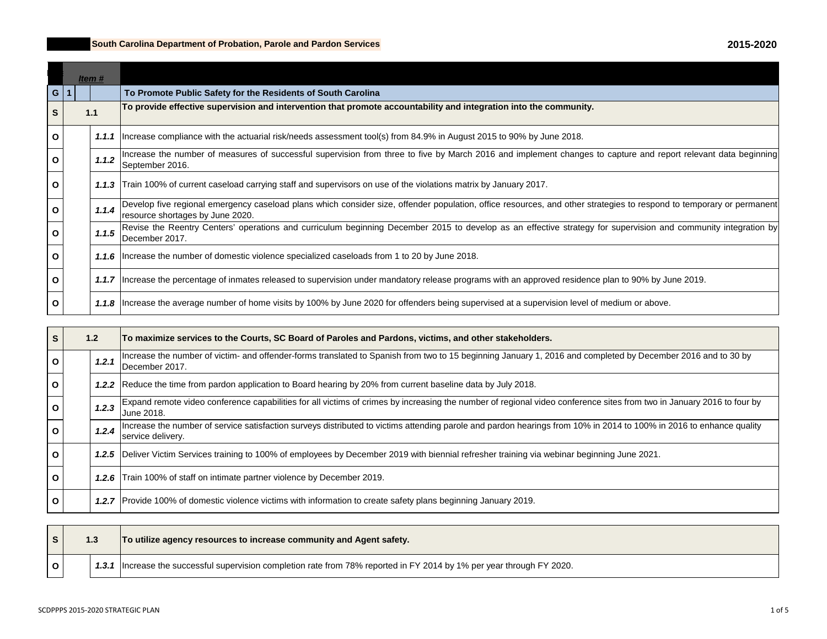## **South Carolina Department of Probation, Parole and Pardon Services**

|              | Item # |       |                                                                                                                                                                                                          |
|--------------|--------|-------|----------------------------------------------------------------------------------------------------------------------------------------------------------------------------------------------------------|
| G            |        |       | To Promote Public Safety for the Residents of South Carolina                                                                                                                                             |
|              |        | 1.1   | To provide effective supervision and intervention that promote accountability and integration into the community.                                                                                        |
| $\mathbf{o}$ |        | 1.1.1 | Increase compliance with the actuarial risk/needs assessment tool(s) from 84.9% in August 2015 to 90% by June 2018.                                                                                      |
| Ω            |        | 1.1.2 | Increase the number of measures of successful supervision from three to five by March 2016 and implement changes to capture and report relevant data beginning<br>September 2016.                        |
| O            |        | 1.1.3 | Train 100% of current caseload carrying staff and supervisors on use of the violations matrix by January 2017.                                                                                           |
| $\mathbf{o}$ |        | 1.1.4 | Develop five regional emergency caseload plans which consider size, offender population, office resources, and other strategies to respond to temporary or permanent<br>resource shortages by June 2020. |
| $\Omega$     |        | 1.1.5 | Revise the Reentry Centers' operations and curriculum beginning December 2015 to develop as an effective strategy for supervision and community integration by<br>lDecember 2017.                        |
| O            |        |       | 1.1.6   Increase the number of domestic violence specialized caseloads from 1 to 20 by June 2018.                                                                                                        |
| $\mathbf{o}$ |        |       | 1.1.7   Increase the percentage of inmates released to supervision under mandatory release programs with an approved residence plan to 90% by June 2019.                                                 |
| O            |        |       | 1.1.8   Increase the average number of home visits by 100% by June 2020 for offenders being supervised at a supervision level of medium or above.                                                        |

| S            | 1.2   | To maximize services to the Courts, SC Board of Paroles and Pardons, victims, and other stakeholders.                                                                                    |
|--------------|-------|------------------------------------------------------------------------------------------------------------------------------------------------------------------------------------------|
| $\mathbf{o}$ | 1.2.1 | Increase the number of victim- and offender-forms translated to Spanish from two to 15 beginning January 1, 2016 and completed by December 2016 and to 30 by<br>December 2017.           |
| $\mathbf{o}$ |       | 1.2.2 Reduce the time from pardon application to Board hearing by 20% from current baseline data by July 2018.                                                                           |
| O            | 1.2.3 | Expand remote video conference capabilities for all victims of crimes by increasing the number of regional video conference sites from two in January 2016 to four by<br>June 2018.      |
| $\mathbf{o}$ | 1.2.4 | Increase the number of service satisfaction surveys distributed to victims attending parole and pardon hearings from 10% in 2014 to 100% in 2016 to enhance quality<br>service delivery. |
| $\mathbf{o}$ |       | 1.2.5 Deliver Victim Services training to 100% of employees by December 2019 with biennial refresher training via webinar beginning June 2021.                                           |
| O            | 1.2.6 | Train 100% of staff on intimate partner violence by December 2019.                                                                                                                       |
| O            |       | 1.2.7 Provide 100% of domestic violence victims with information to create safety plans beginning January 2019.                                                                          |

|  | 1.3 | To utilize agency resources to increase community and Agent safety.                                                      |
|--|-----|--------------------------------------------------------------------------------------------------------------------------|
|  |     | 1.3.1   Increase the successful supervision completion rate from 78% reported in FY 2014 by 1% per year through FY 2020. |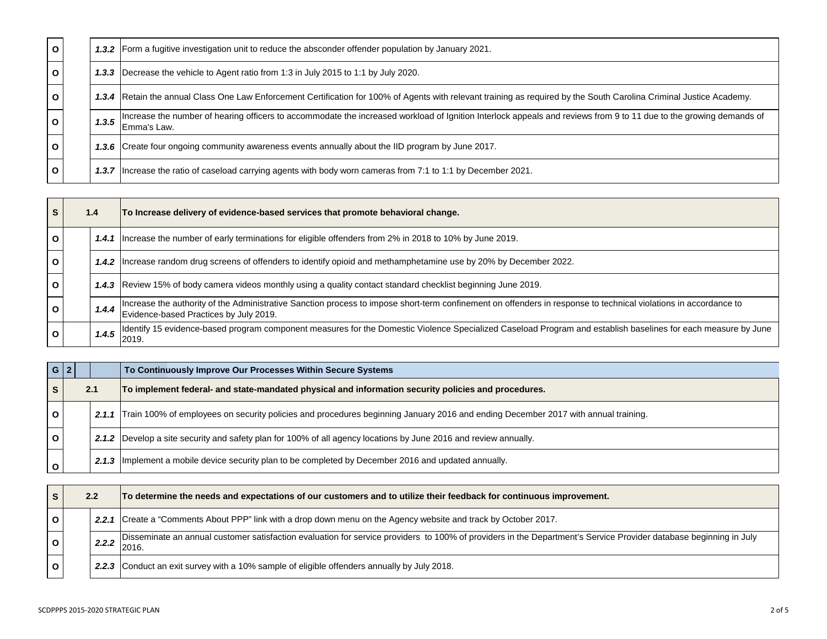| $\mathbf{o}$ |       | 1.3.2 Form a fugitive investigation unit to reduce the absconder offender population by January 2021.                                                                             |
|--------------|-------|-----------------------------------------------------------------------------------------------------------------------------------------------------------------------------------|
| $\mathbf{o}$ |       | <b>1.3.3</b> Decrease the vehicle to Agent ratio from 1:3 in July 2015 to 1:1 by July 2020.                                                                                       |
| $\mathbf{o}$ |       | 1.3.4 Retain the annual Class One Law Enforcement Certification for 100% of Agents with relevant training as required by the South Carolina Criminal Justice Academy.             |
| $\mathbf{o}$ | 1.3.5 | Increase the number of hearing officers to accommodate the increased workload of Ignition Interlock appeals and reviews from 9 to 11 due to the growing demands of<br>Emma's Law. |
| $\mathbf{o}$ |       | 1.3.6 Create four ongoing community awareness events annually about the IID program by June 2017.                                                                                 |
| $\mathbf{o}$ |       | 1.3.7   Increase the ratio of caseload carrying agents with body worn cameras from 7:1 to 1:1 by December 2021.                                                                   |

|              | 1.4   | To Increase delivery of evidence-based services that promote behavioral change.                                                                                                                            |
|--------------|-------|------------------------------------------------------------------------------------------------------------------------------------------------------------------------------------------------------------|
| $\mathbf{o}$ |       | 1.4.1   Increase the number of early terminations for eligible offenders from 2% in 2018 to 10% by June 2019.                                                                                              |
| $\mathbf{o}$ |       | 1.4.2   Increase random drug screens of offenders to identify opioid and methamphetamine use by 20% by December 2022.                                                                                      |
| $\mathbf{o}$ |       | 1.4.3 Review 15% of body camera videos monthly using a quality contact standard checklist beginning June 2019.                                                                                             |
| $\mathbf{o}$ | 1.4.4 | Increase the authority of the Administrative Sanction process to impose short-term confinement on offenders in response to technical violations in accordance to<br>Evidence-based Practices by July 2019. |
|              | 1.4.5 | Identify 15 evidence-based program component measures for the Domestic Violence Specialized Caseload Program and establish baselines for each measure by June<br>2019.                                     |

|              | $G$   2 |     | To Continuously Improve Our Processes Within Secure Systems                                                                             |
|--------------|---------|-----|-----------------------------------------------------------------------------------------------------------------------------------------|
|              |         | 2.1 | To implement federal- and state-mandated physical and information security policies and procedures.                                     |
| $\mathbf{o}$ |         |     | 2.1.1 Train 100% of employees on security policies and procedures beginning January 2016 and ending December 2017 with annual training. |
| O            |         |     | 2.1.2 Develop a site security and safety plan for 100% of all agency locations by June 2016 and review annually.                        |
|              |         |     | 2.1.3   Implement a mobile device security plan to be completed by December 2016 and updated annually.                                  |

| 2.2 |  |       | To determine the needs and expectations of our customers and to utilize their feedback for continuous improvement.                                                         |
|-----|--|-------|----------------------------------------------------------------------------------------------------------------------------------------------------------------------------|
|     |  |       | 2.2.1 Create a "Comments About PPP" link with a drop down menu on the Agency website and track by October 2017.                                                            |
|     |  | 2.2.2 | Disseminate an annual customer satisfaction evaluation for service providers to 100% of providers in the Department's Service Provider database beginning in July<br>2016. |
|     |  |       | 2.2.3 Conduct an exit survey with a 10% sample of eligible offenders annually by July 2018.                                                                                |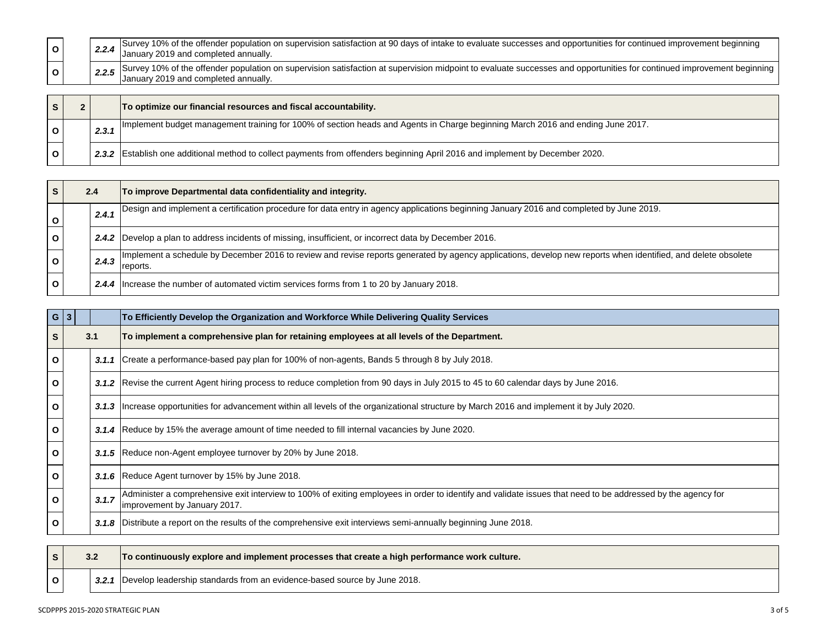|  | Survey 10% of the offender population on supervision satisfaction at 90 days of intake to evaluate successes and opportunities for continued improvement beginning<br>January 2019 and completed annually.          |
|--|---------------------------------------------------------------------------------------------------------------------------------------------------------------------------------------------------------------------|
|  | 2.2.5 Survey 10% of the offender population on supervision satisfaction at supervision midpoint to evaluate successes and opportunities for continued improvement beginning<br>January 2019 and completed annually. |
|  |                                                                                                                                                                                                                     |

|  |       | To optimize our financial resources and fiscal accountability.                                                                 |
|--|-------|--------------------------------------------------------------------------------------------------------------------------------|
|  | 2.3.1 | Implement budget management training for 100% of section heads and Agents in Charge beginning March 2016 and ending June 2017. |
|  |       | 2.3.2 Establish one additional method to collect payments from offenders beginning April 2016 and implement by December 2020.  |

|   | 2.4   | To improve Departmental data confidentiality and integrity.                                                                                                               |
|---|-------|---------------------------------------------------------------------------------------------------------------------------------------------------------------------------|
|   | 2.4.1 | Design and implement a certification procedure for data entry in agency applications beginning January 2016 and completed by June 2019.                                   |
| O |       | 2.4.2 Develop a plan to address incidents of missing, insufficient, or incorrect data by December 2016.                                                                   |
|   | 2.4.3 | Implement a schedule by December 2016 to review and revise reports generated by agency applications, develop new reports when identified, and delete obsolete<br>reports. |
|   |       | 2.4.4   Increase the number of automated victim services forms from 1 to 20 by January 2018.                                                                              |

|              | $G \mid 3$ |       | To Efficiently Develop the Organization and Workforce While Delivering Quality Services                                                                                                      |
|--------------|------------|-------|----------------------------------------------------------------------------------------------------------------------------------------------------------------------------------------------|
| S            |            | 3.1   | To implement a comprehensive plan for retaining employees at all levels of the Department.                                                                                                   |
| $\mathbf{o}$ |            |       | 3.1.1 Create a performance-based pay plan for 100% of non-agents, Bands 5 through 8 by July 2018.                                                                                            |
| O            |            |       | 3.1.2 Revise the current Agent hiring process to reduce completion from 90 days in July 2015 to 45 to 60 calendar days by June 2016.                                                         |
| $\mathbf{o}$ |            |       | 3.1.3   Increase opportunities for advancement within all levels of the organizational structure by March 2016 and implement it by July 2020.                                                |
| O            |            |       | 3.1.4 Reduce by 15% the average amount of time needed to fill internal vacancies by June 2020.                                                                                               |
| O            |            |       | 3.1.5 Reduce non-Agent employee turnover by 20% by June 2018.                                                                                                                                |
| O            |            |       | 3.1.6 Reduce Agent turnover by 15% by June 2018.                                                                                                                                             |
| O            |            | 3.1.7 | Administer a comprehensive exit interview to 100% of exiting employees in order to identify and validate issues that need to be addressed by the agency for<br>limprovement by January 2017. |
| O            |            |       | 3.1.8 Distribute a report on the results of the comprehensive exit interviews semi-annually beginning June 2018.                                                                             |

|  |  | To continuously explore and implement processes that create a high performance work culture. |
|--|--|----------------------------------------------------------------------------------------------|
|  |  | 3.2.1   Develop leadership standards from an evidence-based source by June 2018.             |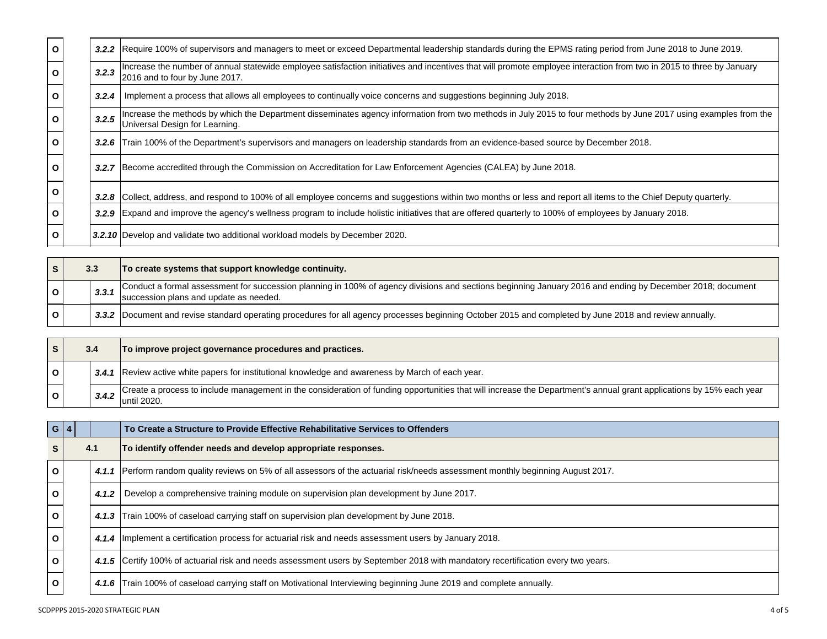| $\mathbf{o}$ |       | 3.2.2 Require 100% of supervisors and managers to meet or exceed Departmental leadership standards during the EPMS rating period from June 2018 to June 2019.                                          |
|--------------|-------|--------------------------------------------------------------------------------------------------------------------------------------------------------------------------------------------------------|
| O            | 3.2.3 | Increase the number of annual statewide employee satisfaction initiatives and incentives that will promote employee interaction from two in 2015 to three by January<br>2016 and to four by June 2017. |
| O            | 3.2.4 | Implement a process that allows all employees to continually voice concerns and suggestions beginning July 2018.                                                                                       |
| O            | 3.2.5 | Increase the methods by which the Department disseminates agency information from two methods in July 2015 to four methods by June 2017 using examples from the<br>Universal Design for Learning.      |
| O            | 3.2.6 | Train 100% of the Department's supervisors and managers on leadership standards from an evidence-based source by December 2018.                                                                        |
| O            |       | 3.2.7 Become accredited through the Commission on Accreditation for Law Enforcement Agencies (CALEA) by June 2018.                                                                                     |
| O            |       | 3.2.8 Collect, address, and respond to 100% of all employee concerns and suggestions within two months or less and report all items to the Chief Deputy quarterly.                                     |
| O            |       | 3.2.9 Expand and improve the agency's wellness program to include holistic initiatives that are offered quarterly to 100% of employees by January 2018.                                                |
| O            |       | 3.2.10 Develop and validate two additional workload models by December 2020.                                                                                                                           |

|  | 3.3 |       | To create systems that support knowledge continuity.                                                                                                                                                |
|--|-----|-------|-----------------------------------------------------------------------------------------------------------------------------------------------------------------------------------------------------|
|  |     | 3.3.1 | Conduct a formal assessment for succession planning in 100% of agency divisions and sections beginning January 2016 and ending by December 2018; document<br>succession plans and update as needed. |
|  |     |       | 3.3.2 Document and revise standard operating procedures for all agency processes beginning October 2015 and completed by June 2018 and review annually.                                             |

|  | 3.4   | To improve project governance procedures and practices.                                                                                                                             |
|--|-------|-------------------------------------------------------------------------------------------------------------------------------------------------------------------------------------|
|  |       | 3.4.1 Review active white papers for institutional knowledge and awareness by March of each year.                                                                                   |
|  | 3.4.2 | Create a process to include management in the consideration of funding opportunities that will increase the Department's annual grant applications by 15% each year<br>luntil 2020. |

|              | G 4 |       | To Create a Structure to Provide Effective Rehabilitative Services to Offenders                                                   |
|--------------|-----|-------|-----------------------------------------------------------------------------------------------------------------------------------|
|              | 4.1 |       | To identify offender needs and develop appropriate responses.                                                                     |
|              |     | 4.1.1 | Perform random quality reviews on 5% of all assessors of the actuarial risk/needs assessment monthly beginning August 2017.       |
| O            |     | 4.1.2 | Develop a comprehensive training module on supervision plan development by June 2017.                                             |
| O            |     |       | 4.1.3 Train 100% of caseload carrying staff on supervision plan development by June 2018.                                         |
| $\mathbf{o}$ |     |       | 4.1.4 Implement a certification process for actuarial risk and needs assessment users by January 2018.                            |
| $\mathbf{o}$ |     |       | 4.1.5 Certify 100% of actuarial risk and needs assessment users by September 2018 with mandatory recertification every two years. |
| O            |     |       | 4.1.6 Train 100% of caseload carrying staff on Motivational Interviewing beginning June 2019 and complete annually.               |